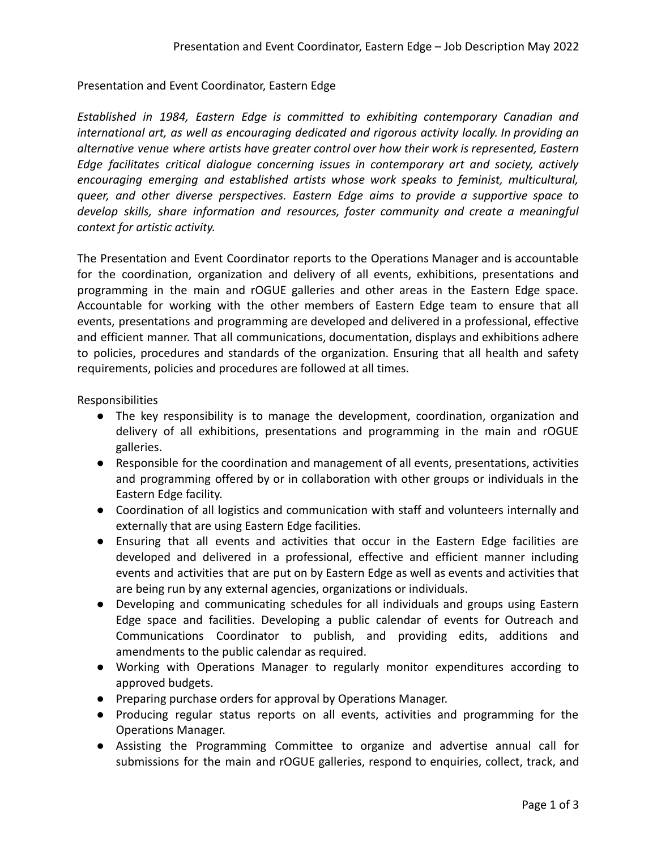## Presentation and Event Coordinator, Eastern Edge

*Established in 1984, Eastern Edge is committed to exhibiting contemporary Canadian and international art, as well as encouraging dedicated and rigorous activity locally. In providing an alternative venue where artists have greater control over how their work is represented, Eastern Edge facilitates critical dialogue concerning issues in contemporary art and society, actively encouraging emerging and established artists whose work speaks to feminist, multicultural, queer, and other diverse perspectives. Eastern Edge aims to provide a supportive space to develop skills, share information and resources, foster community and create a meaningful context for artistic activity.*

The Presentation and Event Coordinator reports to the Operations Manager and is accountable for the coordination, organization and delivery of all events, exhibitions, presentations and programming in the main and rOGUE galleries and other areas in the Eastern Edge space. Accountable for working with the other members of Eastern Edge team to ensure that all events, presentations and programming are developed and delivered in a professional, effective and efficient manner. That all communications, documentation, displays and exhibitions adhere to policies, procedures and standards of the organization. Ensuring that all health and safety requirements, policies and procedures are followed at all times.

Responsibilities

- The key responsibility is to manage the development, coordination, organization and delivery of all exhibitions, presentations and programming in the main and rOGUE galleries.
- Responsible for the coordination and management of all events, presentations, activities and programming offered by or in collaboration with other groups or individuals in the Eastern Edge facility.
- Coordination of all logistics and communication with staff and volunteers internally and externally that are using Eastern Edge facilities.
- Ensuring that all events and activities that occur in the Eastern Edge facilities are developed and delivered in a professional, effective and efficient manner including events and activities that are put on by Eastern Edge as well as events and activities that are being run by any external agencies, organizations or individuals.
- Developing and communicating schedules for all individuals and groups using Eastern Edge space and facilities. Developing a public calendar of events for Outreach and Communications Coordinator to publish, and providing edits, additions and amendments to the public calendar as required.
- Working with Operations Manager to regularly monitor expenditures according to approved budgets.
- Preparing purchase orders for approval by Operations Manager.
- Producing regular status reports on all events, activities and programming for the Operations Manager.
- Assisting the Programming Committee to organize and advertise annual call for submissions for the main and rOGUE galleries, respond to enquiries, collect, track, and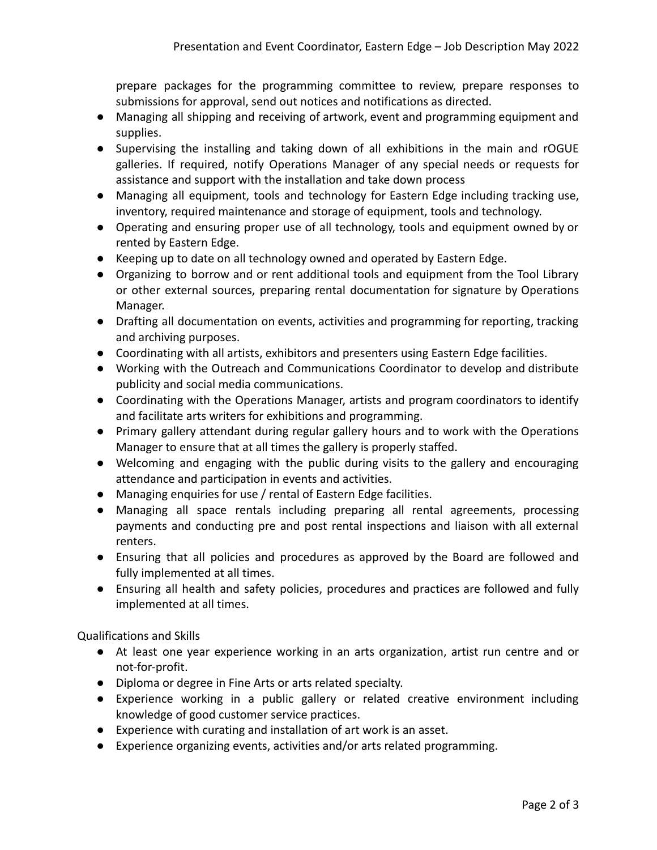prepare packages for the programming committee to review, prepare responses to submissions for approval, send out notices and notifications as directed.

- Managing all shipping and receiving of artwork, event and programming equipment and supplies.
- Supervising the installing and taking down of all exhibitions in the main and rOGUE galleries. If required, notify Operations Manager of any special needs or requests for assistance and support with the installation and take down process
- Managing all equipment, tools and technology for Eastern Edge including tracking use, inventory, required maintenance and storage of equipment, tools and technology.
- Operating and ensuring proper use of all technology, tools and equipment owned by or rented by Eastern Edge.
- Keeping up to date on all technology owned and operated by Eastern Edge.
- Organizing to borrow and or rent additional tools and equipment from the Tool Library or other external sources, preparing rental documentation for signature by Operations Manager.
- Drafting all documentation on events, activities and programming for reporting, tracking and archiving purposes.
- Coordinating with all artists, exhibitors and presenters using Eastern Edge facilities.
- Working with the Outreach and Communications Coordinator to develop and distribute publicity and social media communications.
- Coordinating with the Operations Manager, artists and program coordinators to identify and facilitate arts writers for exhibitions and programming.
- Primary gallery attendant during regular gallery hours and to work with the Operations Manager to ensure that at all times the gallery is properly staffed.
- Welcoming and engaging with the public during visits to the gallery and encouraging attendance and participation in events and activities.
- Managing enquiries for use / rental of Eastern Edge facilities.
- Managing all space rentals including preparing all rental agreements, processing payments and conducting pre and post rental inspections and liaison with all external renters.
- Ensuring that all policies and procedures as approved by the Board are followed and fully implemented at all times.
- Ensuring all health and safety policies, procedures and practices are followed and fully implemented at all times.

Qualifications and Skills

- At least one year experience working in an arts organization, artist run centre and or not-for-profit.
- Diploma or degree in Fine Arts or arts related specialty.
- Experience working in a public gallery or related creative environment including knowledge of good customer service practices.
- Experience with curating and installation of art work is an asset.
- Experience organizing events, activities and/or arts related programming.